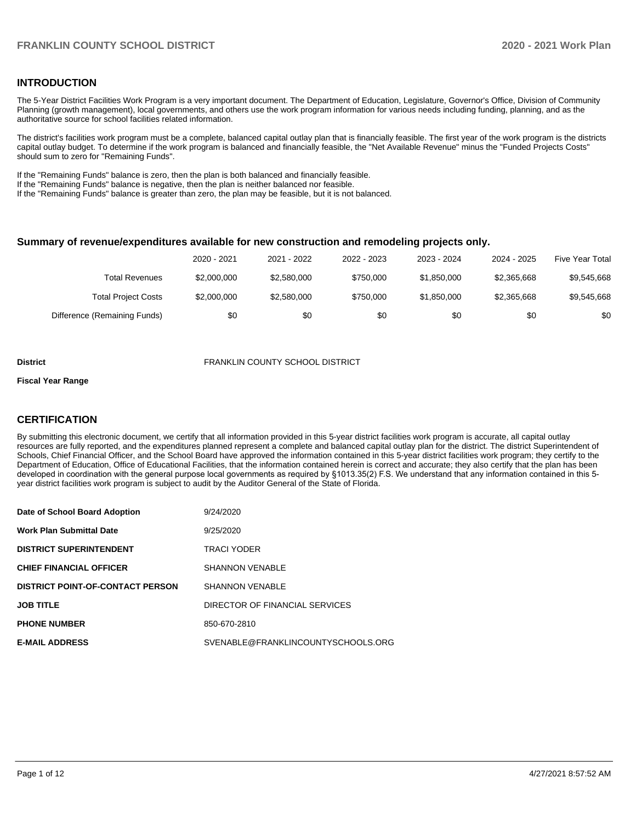### **INTRODUCTION**

The 5-Year District Facilities Work Program is a very important document. The Department of Education, Legislature, Governor's Office, Division of Community Planning (growth management), local governments, and others use the work program information for various needs including funding, planning, and as the authoritative source for school facilities related information.

The district's facilities work program must be a complete, balanced capital outlay plan that is financially feasible. The first year of the work program is the districts capital outlay budget. To determine if the work program is balanced and financially feasible, the "Net Available Revenue" minus the "Funded Projects Costs" should sum to zero for "Remaining Funds".

If the "Remaining Funds" balance is zero, then the plan is both balanced and financially feasible.

If the "Remaining Funds" balance is negative, then the plan is neither balanced nor feasible.

If the "Remaining Funds" balance is greater than zero, the plan may be feasible, but it is not balanced.

#### **Summary of revenue/expenditures available for new construction and remodeling projects only.**

| Five Year Total | 2024 - 2025 | 2023 - 2024 | 2022 - 2023 | 2021 - 2022 | 2020 - 2021 |                              |
|-----------------|-------------|-------------|-------------|-------------|-------------|------------------------------|
| \$9,545,668     | \$2,365,668 | \$1,850,000 | \$750,000   | \$2,580,000 | \$2,000,000 | Total Revenues               |
| \$9,545,668     | \$2,365,668 | \$1,850,000 | \$750,000   | \$2,580,000 | \$2,000,000 | <b>Total Project Costs</b>   |
| \$0             | \$0         | \$0         | \$0         | \$0         | \$0         | Difference (Remaining Funds) |

#### **District** FRANKLIN COUNTY SCHOOL DISTRICT

#### **Fiscal Year Range**

# **CERTIFICATION**

By submitting this electronic document, we certify that all information provided in this 5-year district facilities work program is accurate, all capital outlay resources are fully reported, and the expenditures planned represent a complete and balanced capital outlay plan for the district. The district Superintendent of Schools, Chief Financial Officer, and the School Board have approved the information contained in this 5-year district facilities work program; they certify to the Department of Education, Office of Educational Facilities, that the information contained herein is correct and accurate; they also certify that the plan has been developed in coordination with the general purpose local governments as required by §1013.35(2) F.S. We understand that any information contained in this 5 year district facilities work program is subject to audit by the Auditor General of the State of Florida.

| Date of School Board Adoption           | 9/24/2020                          |
|-----------------------------------------|------------------------------------|
| <b>Work Plan Submittal Date</b>         | 9/25/2020                          |
| <b>DISTRICT SUPERINTENDENT</b>          | <b>TRACI YODER</b>                 |
| <b>CHIEF FINANCIAL OFFICER</b>          | <b>SHANNON VENABLE</b>             |
| <b>DISTRICT POINT-OF-CONTACT PERSON</b> | <b>SHANNON VENABLE</b>             |
| <b>JOB TITLE</b>                        | DIRECTOR OF FINANCIAL SERVICES     |
| <b>PHONE NUMBER</b>                     | 850-670-2810                       |
| <b>E-MAIL ADDRESS</b>                   | SVENABLE@FRANKLINCOUNTYSCHOOLS.ORG |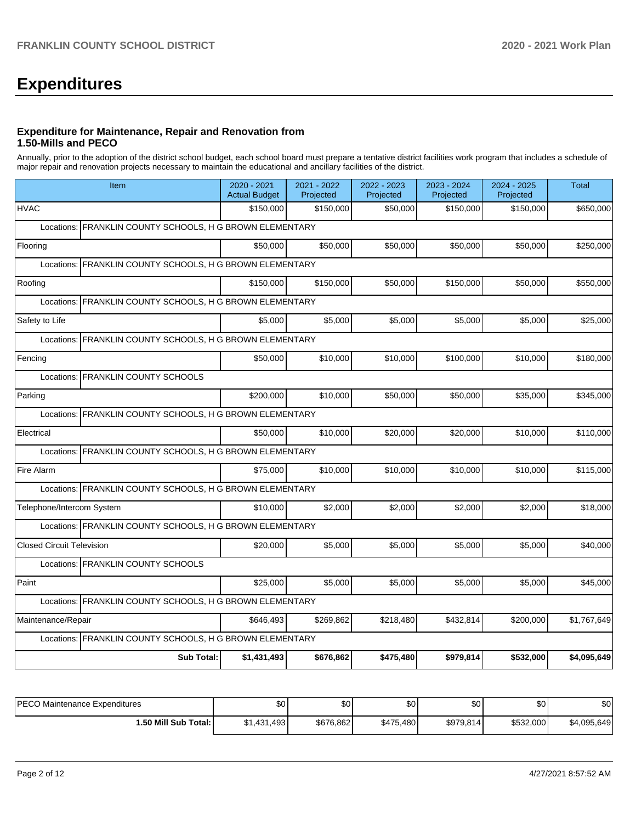# **Expenditures**

## **Expenditure for Maintenance, Repair and Renovation from 1.50-Mills and PECO**

Annually, prior to the adoption of the district school budget, each school board must prepare a tentative district facilities work program that includes a schedule of major repair and renovation projects necessary to maintain the educational and ancillary facilities of the district.

| Item                                                        | 2020 - 2021<br><b>Actual Budget</b> | 2021 - 2022<br>Projected | 2022 - 2023<br>Projected | 2023 - 2024<br>Projected | 2024 - 2025<br>Projected | <b>Total</b> |
|-------------------------------------------------------------|-------------------------------------|--------------------------|--------------------------|--------------------------|--------------------------|--------------|
| <b>HVAC</b>                                                 | \$150,000                           | \$150.000                | \$50,000                 | \$150.000                | \$150,000                | \$650,000    |
| Locations: FRANKLIN COUNTY SCHOOLS, H G BROWN ELEMENTARY    |                                     |                          |                          |                          |                          |              |
| Flooring                                                    | \$50,000                            | \$50,000                 | \$50,000                 | \$50,000                 | \$50,000                 | \$250,000    |
| Locations: FRANKLIN COUNTY SCHOOLS, H G BROWN ELEMENTARY    |                                     |                          |                          |                          |                          |              |
| Roofing                                                     | \$150,000                           | \$150,000                | \$50,000                 | \$150,000                | \$50,000                 | \$550,000    |
| FRANKLIN COUNTY SCHOOLS, H G BROWN ELEMENTARY<br>Locations: |                                     |                          |                          |                          |                          |              |
| Safety to Life                                              | \$5.000                             | \$5,000                  | \$5,000                  | \$5,000                  | \$5,000                  | \$25,000     |
| FRANKLIN COUNTY SCHOOLS, H G BROWN ELEMENTARY<br>Locations: |                                     |                          |                          |                          |                          |              |
| Fencing                                                     | \$50,000                            | \$10,000                 | \$10,000                 | \$100,000                | \$10,000                 | \$180,000    |
| Locations: FRANKLIN COUNTY SCHOOLS                          |                                     |                          |                          |                          |                          |              |
| Parking                                                     | \$200,000                           | \$10,000                 | \$50,000                 | \$50,000                 | \$35,000                 | \$345,000    |
| Locations: FRANKLIN COUNTY SCHOOLS, H G BROWN ELEMENTARY    |                                     |                          |                          |                          |                          |              |
| Electrical                                                  | \$50,000                            | \$10.000                 | \$20,000                 | \$20,000                 | \$10,000                 | \$110,000    |
| FRANKLIN COUNTY SCHOOLS, H G BROWN ELEMENTARY<br>Locations: |                                     |                          |                          |                          |                          |              |
| Fire Alarm                                                  | \$75,000                            | \$10.000                 | \$10.000                 | \$10,000                 | \$10.000                 | \$115,000    |
| Locations: FRANKLIN COUNTY SCHOOLS, H G BROWN ELEMENTARY    |                                     |                          |                          |                          |                          |              |
| Telephone/Intercom System                                   | \$10,000                            | \$2,000                  | \$2,000                  | \$2,000                  | \$2,000                  | \$18,000     |
| Locations: FRANKLIN COUNTY SCHOOLS, H G BROWN ELEMENTARY    |                                     |                          |                          |                          |                          |              |
| <b>Closed Circuit Television</b>                            | \$20,000                            | \$5,000                  | \$5,000                  | \$5,000                  | \$5,000                  | \$40,000     |
| Locations: FRANKLIN COUNTY SCHOOLS                          |                                     |                          |                          |                          |                          |              |
| Paint                                                       | \$25,000                            | \$5,000                  | \$5,000                  | \$5,000                  | \$5,000                  | \$45,000     |
| Locations: FRANKLIN COUNTY SCHOOLS, H G BROWN ELEMENTARY    |                                     |                          |                          |                          |                          |              |
| Maintenance/Repair                                          | \$646,493                           | \$269,862                | \$218,480                | \$432,814                | \$200,000                | \$1,767,649  |
| Locations: FRANKLIN COUNTY SCHOOLS, H G BROWN ELEMENTARY    |                                     |                          |                          |                          |                          |              |
| <b>Sub Total:</b>                                           | \$1,431,493                         | \$676,862                | \$475,480                | \$979,814                | \$532,000                | \$4,095,649  |

| <b>IPECO Maintenance Expenditures</b> | \$0         | \$0       | \$0       | \$0        | \$0       | \$0         |
|---------------------------------------|-------------|-----------|-----------|------------|-----------|-------------|
| 1.50 Mill Sub Total: I                | \$1,431,493 | \$676.862 | \$475,480 | \$979,814] | \$532,000 | \$4,095,649 |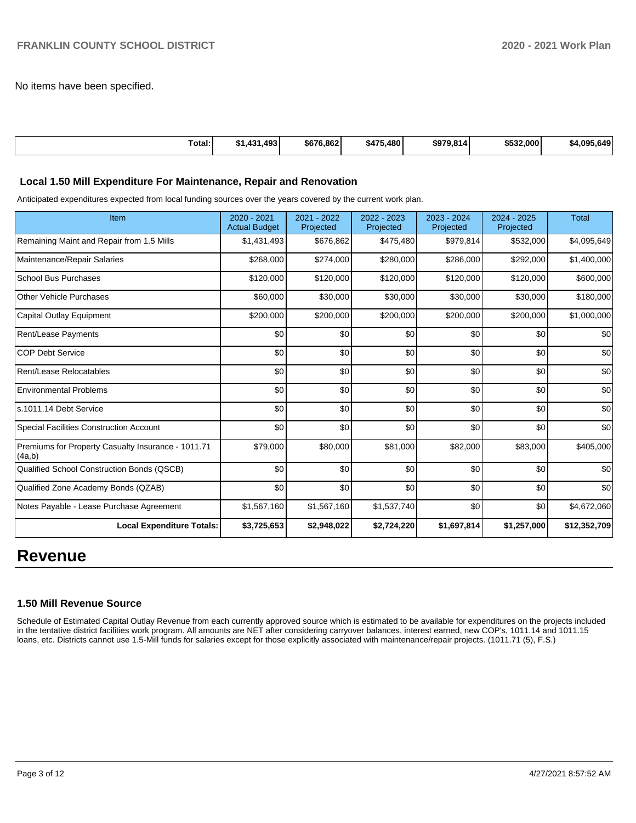No items have been specified.

| Total:<br>. | ا 493.<br>AA | \$676.8621 | .480<br><b>A 7E</b><br>54. | \$979.814 | \$532,000 | \$4.095.649 |
|-------------|--------------|------------|----------------------------|-----------|-----------|-------------|
|             |              |            |                            |           |           |             |

#### **Local 1.50 Mill Expenditure For Maintenance, Repair and Renovation**

Anticipated expenditures expected from local funding sources over the years covered by the current work plan.

| Item                                                         | 2020 - 2021<br><b>Actual Budget</b> | 2021 - 2022<br>Projected | 2022 - 2023<br>Projected | 2023 - 2024<br>Projected | 2024 - 2025<br>Projected | Total        |
|--------------------------------------------------------------|-------------------------------------|--------------------------|--------------------------|--------------------------|--------------------------|--------------|
| Remaining Maint and Repair from 1.5 Mills                    | \$1,431,493                         | \$676,862                | \$475,480                | \$979,814                | \$532,000                | \$4,095,649  |
| Maintenance/Repair Salaries                                  | \$268,000                           | \$274,000                | \$280,000                | \$286,000                | \$292,000                | \$1,400,000  |
| <b>School Bus Purchases</b>                                  | \$120,000                           | \$120,000                | \$120,000                | \$120,000                | \$120,000                | \$600,000    |
| Other Vehicle Purchases                                      | \$60,000                            | \$30,000                 | \$30,000                 | \$30,000                 | \$30,000                 | \$180,000    |
| Capital Outlay Equipment                                     | \$200,000                           | \$200,000                | \$200,000                | \$200,000                | \$200,000                | \$1,000,000  |
| Rent/Lease Payments                                          | \$0                                 | \$0                      | \$0                      | \$0                      | \$0                      | \$0          |
| <b>COP Debt Service</b>                                      | \$0                                 | \$0                      | \$0                      | \$0                      | \$0                      | \$0          |
| Rent/Lease Relocatables                                      | \$0                                 | \$0                      | \$0                      | \$0                      | \$0                      | \$0          |
| <b>Environmental Problems</b>                                | \$0                                 | \$0                      | \$0                      | \$0                      | \$0                      | \$0          |
| s.1011.14 Debt Service                                       | \$0                                 | \$0                      | \$0                      | \$0                      | \$0                      | \$0          |
| <b>Special Facilities Construction Account</b>               | \$0                                 | \$0                      | \$0                      | \$0                      | \$0                      | \$0          |
| Premiums for Property Casualty Insurance - 1011.71<br>(4a,b) | \$79,000                            | \$80,000                 | \$81,000                 | \$82,000                 | \$83,000                 | \$405,000    |
| Qualified School Construction Bonds (QSCB)                   | \$0                                 | \$0                      | \$0                      | \$0                      | \$0                      | \$0          |
| Qualified Zone Academy Bonds (QZAB)                          | \$0                                 | \$0                      | \$0                      | \$0                      | \$0                      | \$0          |
| Notes Payable - Lease Purchase Agreement                     | \$1,567,160                         | \$1,567,160              | \$1,537,740              | \$0                      | \$0                      | \$4,672,060  |
| <b>Local Expenditure Totals:</b>                             | \$3,725,653                         | \$2,948,022              | \$2,724,220              | \$1,697,814              | \$1,257,000              | \$12,352,709 |

# **Revenue**

#### **1.50 Mill Revenue Source**

Schedule of Estimated Capital Outlay Revenue from each currently approved source which is estimated to be available for expenditures on the projects included in the tentative district facilities work program. All amounts are NET after considering carryover balances, interest earned, new COP's, 1011.14 and 1011.15 loans, etc. Districts cannot use 1.5-Mill funds for salaries except for those explicitly associated with maintenance/repair projects. (1011.71 (5), F.S.)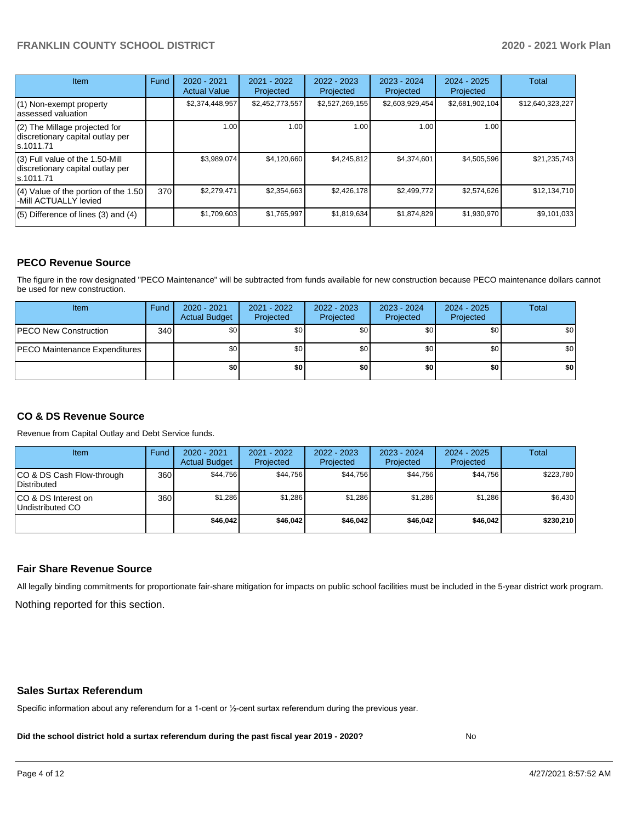# **FRANKLIN COUNTY SCHOOL DISTRICT 2020 - 2021 Work Plan**

| <b>Item</b>                                                                       | Fund | $2020 - 2021$<br><b>Actual Value</b> | 2021 - 2022<br>Projected | $2022 - 2023$<br>Projected | 2023 - 2024<br>Projected | $2024 - 2025$<br>Projected | <b>Total</b>     |
|-----------------------------------------------------------------------------------|------|--------------------------------------|--------------------------|----------------------------|--------------------------|----------------------------|------------------|
| $(1)$ Non-exempt property<br>lassessed valuation                                  |      | \$2,374,448,957                      | \$2,452,773,557          | \$2,527,269,155            | \$2,603,929,454          | \$2,681,902,104            | \$12,640,323,227 |
| $(2)$ The Millage projected for<br>discretionary capital outlay per<br>ls.1011.71 |      | 1.00 <sub>l</sub>                    | 1.00                     | 1.00                       | 1.00                     | 1.00                       |                  |
| (3) Full value of the 1.50-Mill<br>discretionary capital outlay per<br>ls.1011.71 |      | \$3,989,074                          | \$4,120,660              | \$4.245.812                | \$4,374,601              | \$4,505,596                | \$21,235,743     |
| (4) Value of the portion of the 1.50<br>-Mill ACTUALLY levied                     | 370  | \$2,279,471                          | \$2,354,663              | \$2,426,178                | \$2,499,772              | \$2,574,626                | \$12,134,710     |
| $(5)$ Difference of lines $(3)$ and $(4)$                                         |      | \$1,709,603                          | \$1,765,997              | \$1,819,634                | \$1,874,829              | \$1,930,970                | \$9,101,033      |

# **PECO Revenue Source**

The figure in the row designated "PECO Maintenance" will be subtracted from funds available for new construction because PECO maintenance dollars cannot be used for new construction.

| Item                                 | Fund | $2020 - 2021$<br><b>Actual Budget</b> | 2021 - 2022<br>Projected | 2022 - 2023<br>Projected | 2023 - 2024<br>Projected | $2024 - 2025$<br>Projected | Total            |
|--------------------------------------|------|---------------------------------------|--------------------------|--------------------------|--------------------------|----------------------------|------------------|
| <b>IPECO New Construction</b>        | 340  | \$0                                   | \$0                      | \$0                      | \$0                      | \$0                        | \$0 <sub>1</sub> |
| <b>PECO Maintenance Expenditures</b> |      | \$0                                   | \$0                      | \$0                      | \$0 <sub>1</sub>         | \$0                        | \$0 <sub>1</sub> |
|                                      |      | \$0                                   | \$0                      | \$0                      | \$0                      | \$0                        | \$0              |

# **CO & DS Revenue Source**

Revenue from Capital Outlay and Debt Service funds.

| Item                                      | Fund | $2020 - 2021$<br><b>Actual Budget</b> | 2021 - 2022<br>Projected | 2022 - 2023<br>Projected | $2023 - 2024$<br>Projected | $2024 - 2025$<br>Projected | Total     |
|-------------------------------------------|------|---------------------------------------|--------------------------|--------------------------|----------------------------|----------------------------|-----------|
| ICO & DS Cash Flow-through<br>Distributed | 360  | \$44.756                              | \$44,756                 | \$44.756                 | \$44.756                   | \$44.756                   | \$223,780 |
| ICO & DS Interest on<br>Undistributed CO  | 360  | \$1.286                               | \$1,286                  | \$1.286                  | \$1.286                    | \$1,286                    | \$6,430   |
|                                           |      | \$46.042                              | \$46.042                 | \$46.042                 | \$46.042                   | \$46.042                   | \$230.210 |

#### **Fair Share Revenue Source**

Nothing reported for this section. All legally binding commitments for proportionate fair-share mitigation for impacts on public school facilities must be included in the 5-year district work program.

#### **Sales Surtax Referendum**

Specific information about any referendum for a 1-cent or ½-cent surtax referendum during the previous year.

**Did the school district hold a surtax referendum during the past fiscal year 2019 - 2020?**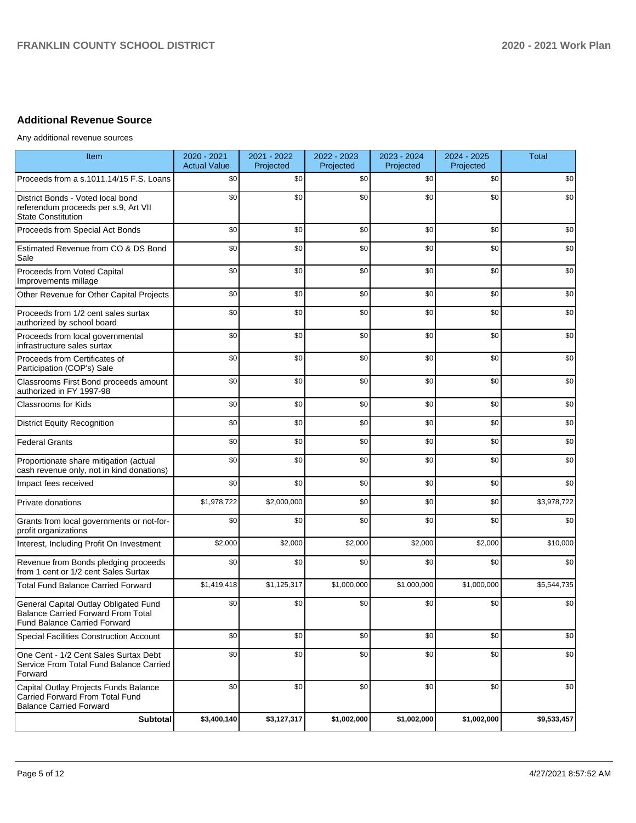# **Additional Revenue Source**

Any additional revenue sources

| Item                                                                                                               | 2020 - 2021<br><b>Actual Value</b> | 2021 - 2022<br>Projected | 2022 - 2023<br>Projected | 2023 - 2024<br>Projected | 2024 - 2025<br>Projected | <b>Total</b> |
|--------------------------------------------------------------------------------------------------------------------|------------------------------------|--------------------------|--------------------------|--------------------------|--------------------------|--------------|
| Proceeds from a s.1011.14/15 F.S. Loans                                                                            | \$0                                | \$0                      | \$0                      | \$0                      | \$0                      | \$0          |
| District Bonds - Voted local bond<br>referendum proceeds per s.9, Art VII<br><b>State Constitution</b>             | \$0                                | \$0                      | \$0                      | \$0                      | \$0                      | \$0          |
| Proceeds from Special Act Bonds                                                                                    | \$0                                | \$0                      | \$0                      | \$0                      | \$0                      | \$0          |
| Estimated Revenue from CO & DS Bond<br>Sale                                                                        | \$0                                | \$0                      | \$0                      | \$0                      | \$0                      | \$0          |
| Proceeds from Voted Capital<br>Improvements millage                                                                | \$0                                | \$0                      | \$0                      | \$0                      | \$0                      | \$0          |
| Other Revenue for Other Capital Projects                                                                           | \$0                                | \$0                      | \$0                      | \$0                      | \$0                      | \$0          |
| Proceeds from 1/2 cent sales surtax<br>authorized by school board                                                  | \$0                                | \$0                      | \$0                      | \$0                      | \$0                      | \$0          |
| Proceeds from local governmental<br>infrastructure sales surtax                                                    | \$0                                | \$0                      | \$0                      | \$0                      | \$0                      | \$0          |
| Proceeds from Certificates of<br>Participation (COP's) Sale                                                        | \$0                                | \$0                      | \$0                      | \$0                      | \$0                      | \$0          |
| Classrooms First Bond proceeds amount<br>authorized in FY 1997-98                                                  | \$0                                | \$0                      | \$0                      | \$0                      | \$0                      | \$0          |
| Classrooms for Kids                                                                                                | \$0                                | \$0                      | \$0                      | \$0                      | \$0                      | \$0          |
| <b>District Equity Recognition</b>                                                                                 | \$0                                | \$0                      | \$0                      | \$0                      | \$0                      | \$0          |
| <b>Federal Grants</b>                                                                                              | \$0                                | \$0                      | \$0                      | \$0                      | \$0                      | \$0          |
| Proportionate share mitigation (actual<br>cash revenue only, not in kind donations)                                | \$0                                | \$0                      | \$0                      | \$0                      | \$0                      | \$0          |
| Impact fees received                                                                                               | \$0                                | \$0                      | \$0                      | \$0                      | \$0                      | \$0          |
| Private donations                                                                                                  | \$1,978,722                        | \$2,000,000              | \$0                      | \$0                      | \$0                      | \$3,978,722  |
| Grants from local governments or not-for-<br>profit organizations                                                  | \$0                                | \$0                      | \$0                      | \$0                      | \$0                      | \$0          |
| Interest, Including Profit On Investment                                                                           | \$2,000                            | \$2,000                  | \$2,000                  | \$2,000                  | \$2,000                  | \$10,000     |
| Revenue from Bonds pledging proceeds<br>from 1 cent or 1/2 cent Sales Surtax                                       | \$0                                | \$0                      | \$0                      | \$0                      | \$0                      | \$0          |
| <b>Total Fund Balance Carried Forward</b>                                                                          | \$1,419,418                        | \$1,125,317              | \$1,000,000              | \$1,000,000              | \$1,000,000              | \$5,544,735  |
| General Capital Outlay Obligated Fund<br>Balance Carried Forward From Total<br><b>Fund Balance Carried Forward</b> | \$0                                | \$0                      | \$0                      | \$0                      | \$0                      | \$0          |
| <b>Special Facilities Construction Account</b>                                                                     | \$0                                | \$0                      | \$0                      | \$0                      | \$0                      | \$0          |
| One Cent - 1/2 Cent Sales Surtax Debt<br>Service From Total Fund Balance Carried<br>Forward                        | \$0                                | \$0                      | \$0                      | \$0                      | \$0                      | \$0          |
| Capital Outlay Projects Funds Balance<br>Carried Forward From Total Fund<br><b>Balance Carried Forward</b>         | \$0                                | \$0                      | \$0                      | \$0                      | \$0                      | \$0          |
| <b>Subtotal</b>                                                                                                    | \$3,400,140                        | \$3,127,317              | \$1,002,000              | \$1,002,000              | \$1,002,000              | \$9,533,457  |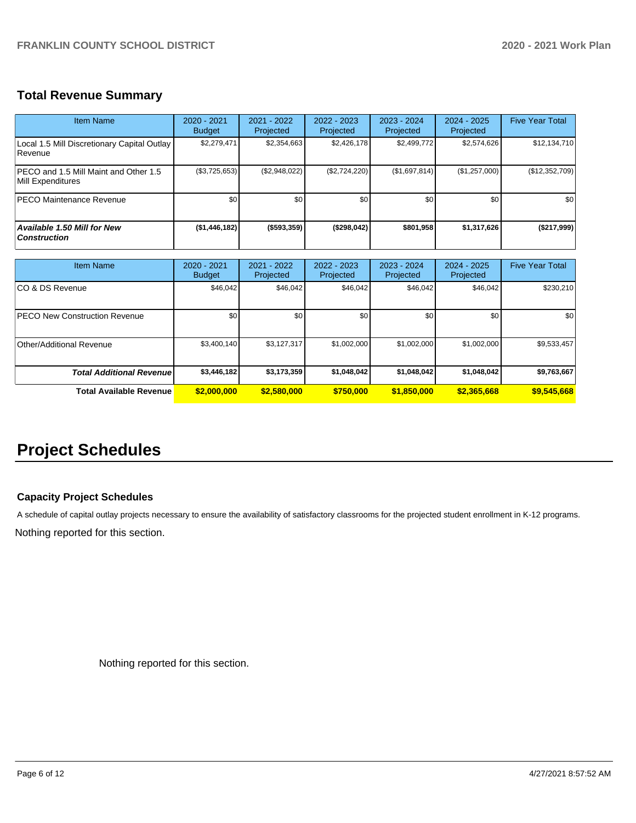# **Total Revenue Summary**

| Item Name                                                     | 2020 - 2021<br><b>Budget</b> | 2021 - 2022<br>Projected | 2022 - 2023<br>Projected | $2023 - 2024$<br>Projected | $2024 - 2025$<br>Projected | <b>Five Year Total</b> |
|---------------------------------------------------------------|------------------------------|--------------------------|--------------------------|----------------------------|----------------------------|------------------------|
| Local 1.5 Mill Discretionary Capital Outlay<br><b>Revenue</b> | \$2,279,471                  | \$2,354,663              | \$2,426,178              | \$2,499,772                | \$2,574,626                | \$12,134,710           |
| IPECO and 1.5 Mill Maint and Other 1.5<br>Mill Expenditures   | $(\$3,725,653)$              | (\$2,948,022)            | (\$2,724,220)            | (\$1,697,814)              | (\$1,257,000)              | (\$12,352,709)         |
| <b>PECO Maintenance Revenue</b>                               | \$0                          | \$0 <sub>1</sub>         | \$0                      | \$0                        | \$0                        | \$0                    |
| <b>Available 1.50 Mill for New</b><br><b>Construction</b>     | (\$1,446,182)                | (\$593,359)              | (\$298,042)              | \$801,958                  | \$1,317,626                | (\$217,999)            |

| <b>Item Name</b>                     | $2020 - 2021$<br><b>Budget</b> | $2021 - 2022$<br>Projected | 2022 - 2023<br>Projected | 2023 - 2024<br>Projected | $2024 - 2025$<br>Projected | <b>Five Year Total</b> |
|--------------------------------------|--------------------------------|----------------------------|--------------------------|--------------------------|----------------------------|------------------------|
| ICO & DS Revenue                     | \$46,042                       | \$46,042                   | \$46,042                 | \$46,042                 | \$46,042                   | \$230,210              |
| <b>PECO New Construction Revenue</b> | \$0                            | \$0                        | \$0                      | \$0                      | \$0                        | \$0                    |
| Other/Additional Revenue             | \$3,400,140                    | \$3,127,317                | \$1,002,000              | \$1,002,000              | \$1,002,000                | \$9,533,457            |
| <b>Total Additional Revenuel</b>     | \$3,446,182                    | \$3,173,359                | \$1,048,042              | \$1,048,042              | \$1,048,042                | \$9,763,667            |
| <b>Total Available Revenue</b>       | \$2,000,000                    | \$2,580,000                | \$750,000                | \$1,850,000              | \$2,365,668                | \$9,545,668            |

# **Project Schedules**

# **Capacity Project Schedules**

A schedule of capital outlay projects necessary to ensure the availability of satisfactory classrooms for the projected student enrollment in K-12 programs.

Nothing reported for this section.

Nothing reported for this section.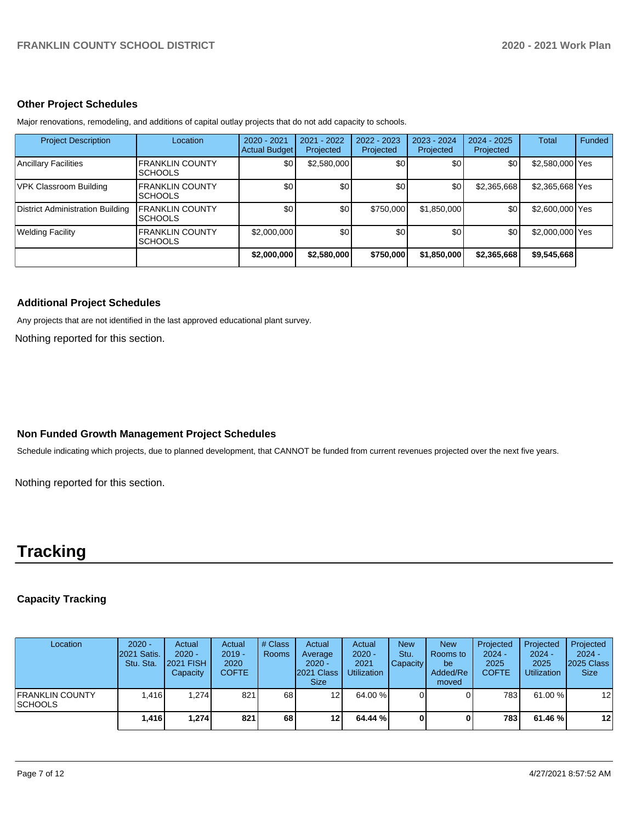### **Other Project Schedules**

Major renovations, remodeling, and additions of capital outlay projects that do not add capacity to schools.

| <b>Project Description</b>              | Location                                  | $2020 - 2021$<br><b>Actual Budget</b> | 2021 - 2022<br>Projected | 2022 - 2023<br>Projected | 2023 - 2024<br>Projected | $2024 - 2025$<br>Projected | <b>Total</b>    | Funded |
|-----------------------------------------|-------------------------------------------|---------------------------------------|--------------------------|--------------------------|--------------------------|----------------------------|-----------------|--------|
| <b>Ancillary Facilities</b>             | <b>FRANKLIN COUNTY</b><br><b>ISCHOOLS</b> | \$0                                   | \$2,580,000              | \$0                      | \$0                      | \$0                        | \$2,580,000 Yes |        |
| VPK Classroom Building                  | <b>FRANKLIN COUNTY</b><br><b>ISCHOOLS</b> | \$0                                   | \$0                      | \$0                      | \$0                      | \$2,365,668                | \$2,365,668 Yes |        |
| <b>District Administration Building</b> | <b>FRANKLIN COUNTY</b><br><b>SCHOOLS</b>  | \$0                                   | \$0                      | \$750,000                | \$1,850,000              | \$0                        | \$2,600,000 Yes |        |
| Welding Facility                        | <b>FRANKLIN COUNTY</b><br><b>ISCHOOLS</b> | \$2,000,000                           | \$0                      | \$0                      | \$0                      | \$0                        | \$2,000,000 Yes |        |
|                                         |                                           | \$2,000,000                           | \$2,580,000              | \$750,000                | \$1,850,000              | \$2,365,668                | \$9,545,668     |        |

# **Additional Project Schedules**

Any projects that are not identified in the last approved educational plant survey.

Nothing reported for this section.

# **Non Funded Growth Management Project Schedules**

Schedule indicating which projects, due to planned development, that CANNOT be funded from current revenues projected over the next five years.

Nothing reported for this section.

# **Tracking**

# **Capacity Tracking**

| Location                                   | $2020 -$<br>2021 Satis.<br>Stu. Sta. | Actual<br>$2020 -$<br><b>2021 FISH</b><br>Capacity | Actual<br>$2019 -$<br>2020<br><b>COFTE</b> | # Class<br><b>Rooms</b> | Actual<br>Average<br>$2020 -$<br>2021 Class<br>Size. | Actual<br>$2020 -$<br>2021<br><b>Utilization</b> | <b>New</b><br>Stu.<br>Capacity | <b>New</b><br>Rooms to<br>be<br>Added/Re<br>moved | Projected<br>$2024 -$<br>2025<br><b>COFTE</b> | Projected<br>$2024 -$<br>2025<br><b>Utilization</b> | Projected<br>$2024 -$<br>2025 Class<br><b>Size</b> |
|--------------------------------------------|--------------------------------------|----------------------------------------------------|--------------------------------------------|-------------------------|------------------------------------------------------|--------------------------------------------------|--------------------------------|---------------------------------------------------|-----------------------------------------------|-----------------------------------------------------|----------------------------------------------------|
| <b>IFRANKLIN COUNTY</b><br><b>ISCHOOLS</b> | 1.416                                | 1.274                                              | 821                                        | 68                      | 12 <sub>l</sub>                                      | 64.00 %                                          |                                |                                                   | 7831                                          | 61.00 %                                             | $12 \overline{ }$                                  |
|                                            | 1,416                                | 1.274                                              | 821                                        | 68                      | 12                                                   | 64.44 %                                          |                                |                                                   | 7831                                          | 61.46 %                                             | 12                                                 |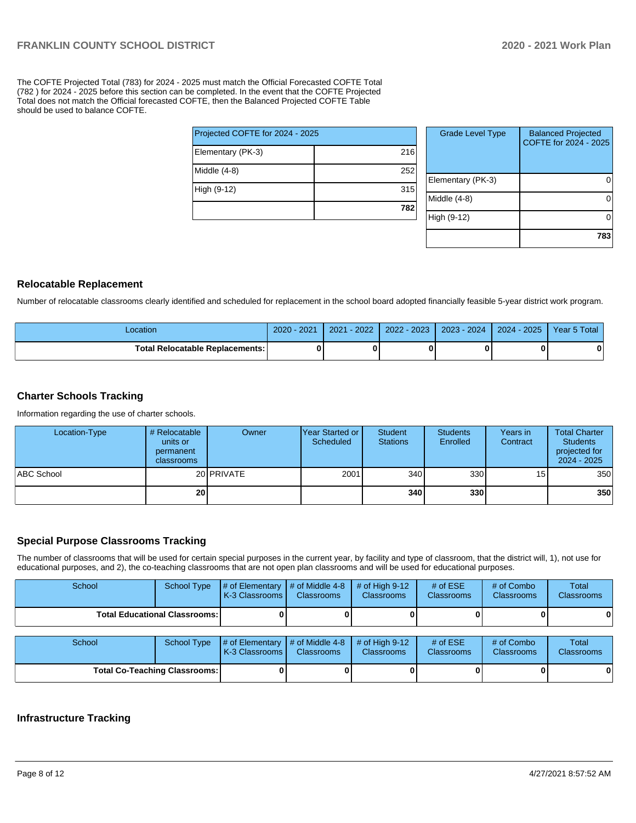The COFTE Projected Total (783) for 2024 - 2025 must match the Official Forecasted COFTE Total (782 ) for 2024 - 2025 before this section can be completed. In the event that the COFTE Projected Total does not match the Official forecasted COFTE, then the Balanced Projected COFTE Table should be used to balance COFTE.

| 216 |
|-----|
| 252 |
| 315 |
| 782 |
|     |

| <b>Grade Level Type</b> | <b>Balanced Projected</b><br>COFTE for 2024 - 2025 |
|-------------------------|----------------------------------------------------|
| Elementary (PK-3)       |                                                    |
| Middle (4-8)            |                                                    |
| High (9-12)             |                                                    |
|                         | 783                                                |

#### **Relocatable Replacement**

Number of relocatable classrooms clearly identified and scheduled for replacement in the school board adopted financially feasible 5-year district work program.

| _ocation                                 | $-2021$<br>$2020 -$ | $-2022'$<br>2021 | 2022 - 2023 | 2023 - 2024 | $2024 - 2025$ | Year 5 Total |
|------------------------------------------|---------------------|------------------|-------------|-------------|---------------|--------------|
| <b>Total Relocatable Replacements: I</b> |                     |                  |             |             |               |              |

#### **Charter Schools Tracking**

Information regarding the use of charter schools.

| Location-Type     | # Relocatable<br>units or<br>permanent<br>classrooms | Owner      | <b>IYear Started or</b><br>Scheduled | <b>Student</b><br><b>Stations</b> | <b>Students</b><br>Enrolled | Years in<br>Contract | <b>Total Charter</b><br><b>Students</b><br>projected for<br>$2024 - 2025$ |
|-------------------|------------------------------------------------------|------------|--------------------------------------|-----------------------------------|-----------------------------|----------------------|---------------------------------------------------------------------------|
| <b>ABC School</b> |                                                      | 20 PRIVATE | 2001                                 | 340                               | 330 <sup>1</sup>            | 15 <sub>l</sub>      | 350                                                                       |
|                   | 20 <sub>l</sub>                                      |            |                                      | 340                               | 330 <sub>l</sub>            |                      | 350                                                                       |

#### **Special Purpose Classrooms Tracking**

The number of classrooms that will be used for certain special purposes in the current year, by facility and type of classroom, that the district will, 1), not use for educational purposes, and 2), the co-teaching classrooms that are not open plan classrooms and will be used for educational purposes.

| School                                 | <b>School Type</b> | $\parallel \#$ of Elementary $\parallel \#$ of Middle 4-8 $\parallel \#$ of High 9-12<br>K-3 Classrooms I | <b>Classrooms</b> | <b>Classrooms</b> | # of $ESE$<br>Classrooms | # of Combo<br><b>Classrooms</b> | Total<br><b>Classrooms</b> |
|----------------------------------------|--------------------|-----------------------------------------------------------------------------------------------------------|-------------------|-------------------|--------------------------|---------------------------------|----------------------------|
| <b>Total Educational Classrooms: I</b> |                    |                                                                                                           |                   |                   |                          |                                 | 01                         |

| School                               |  | School Type $\#$ of Elementary $\#$ of Middle 4-8 $\#$ of High 9-12<br><b>K-3 Classrooms I</b> | <b>Classrooms</b> | <b>Classrooms</b> | # of $ESE$<br><b>Classrooms</b> | # of Combo<br><b>Classrooms</b> | Total<br><b>Classrooms</b> |
|--------------------------------------|--|------------------------------------------------------------------------------------------------|-------------------|-------------------|---------------------------------|---------------------------------|----------------------------|
| <b>Total Co-Teaching Classrooms:</b> |  |                                                                                                |                   |                   |                                 |                                 | 0                          |

#### **Infrastructure Tracking**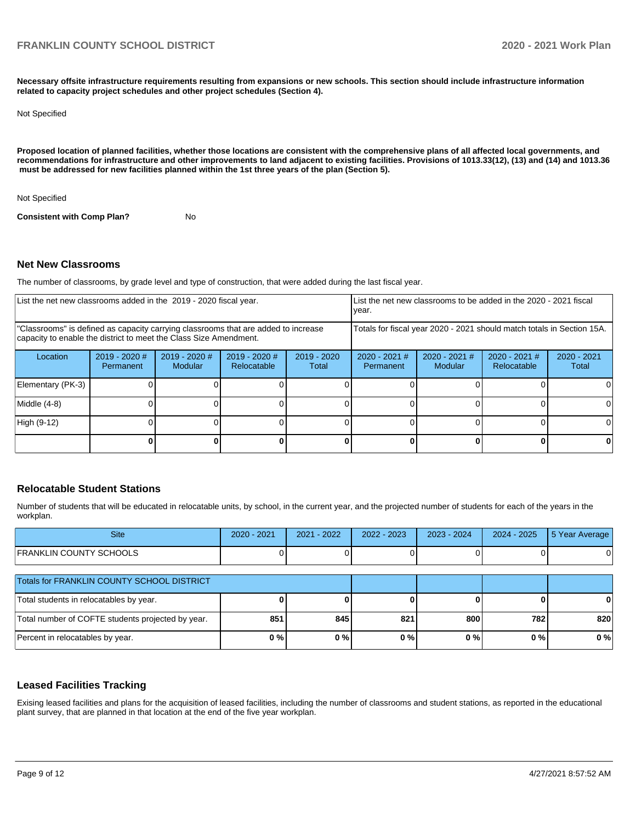**Necessary offsite infrastructure requirements resulting from expansions or new schools. This section should include infrastructure information related to capacity project schedules and other project schedules (Section 4).** 

#### Not Specified

**Proposed location of planned facilities, whether those locations are consistent with the comprehensive plans of all affected local governments, and recommendations for infrastructure and other improvements to land adjacent to existing facilities. Provisions of 1013.33(12), (13) and (14) and 1013.36 must be addressed for new facilities planned within the 1st three years of the plan (Section 5).** 

Not Specified

**Consistent with Comp Plan?** No

#### **Net New Classrooms**

The number of classrooms, by grade level and type of construction, that were added during the last fiscal year.

| List the net new classrooms added in the 2019 - 2020 fiscal year.<br>year.                                                                              |                              |                                   |                                |                        |                                                                        |                            | List the net new classrooms to be added in the 2020 - 2021 fiscal |                        |
|---------------------------------------------------------------------------------------------------------------------------------------------------------|------------------------------|-----------------------------------|--------------------------------|------------------------|------------------------------------------------------------------------|----------------------------|-------------------------------------------------------------------|------------------------|
| "Classrooms" is defined as capacity carrying classrooms that are added to increase<br>capacity to enable the district to meet the Class Size Amendment. |                              |                                   |                                |                        | Totals for fiscal year 2020 - 2021 should match totals in Section 15A. |                            |                                                                   |                        |
| Location                                                                                                                                                | $2019 - 2020$ #<br>Permanent | $2019 - 2020$ #<br><b>Modular</b> | $2019 - 2020$ #<br>Relocatable | $2019 - 2020$<br>Total | $2020 - 2021$ #<br>Permanent                                           | $2020 - 2021$ #<br>Modular | $2020 - 2021$ #<br>Relocatable                                    | $2020 - 2021$<br>Total |
| Elementary (PK-3)                                                                                                                                       |                              |                                   |                                |                        |                                                                        |                            |                                                                   |                        |
| Middle (4-8)                                                                                                                                            |                              |                                   |                                |                        |                                                                        |                            |                                                                   |                        |
| High (9-12)                                                                                                                                             |                              |                                   |                                |                        |                                                                        |                            |                                                                   |                        |
|                                                                                                                                                         |                              |                                   |                                |                        |                                                                        |                            |                                                                   |                        |

#### **Relocatable Student Stations**

Number of students that will be educated in relocatable units, by school, in the current year, and the projected number of students for each of the years in the workplan.

| <b>Site</b>                                       | $2020 - 2021$ | 2021 - 2022 | 2022 - 2023 | 2023 - 2024 | $2024 - 2025$ | 5 Year Average |
|---------------------------------------------------|---------------|-------------|-------------|-------------|---------------|----------------|
| <b>FRANKLIN COUNTY SCHOOLS</b>                    |               |             |             |             |               |                |
| Totals for FRANKLIN COUNTY SCHOOL DISTRICT        |               |             |             |             |               |                |
| Total students in relocatables by year.           |               |             |             |             |               | 0              |
| Total number of COFTE students projected by year. | 851           | 845         | 821         | 800         | 782           | 820            |
| Percent in relocatables by year.                  | 0%            | $0\%$       | $0\%$       | 0%          | $0\%$         | 0%             |

#### **Leased Facilities Tracking**

Exising leased facilities and plans for the acquisition of leased facilities, including the number of classrooms and student stations, as reported in the educational plant survey, that are planned in that location at the end of the five year workplan.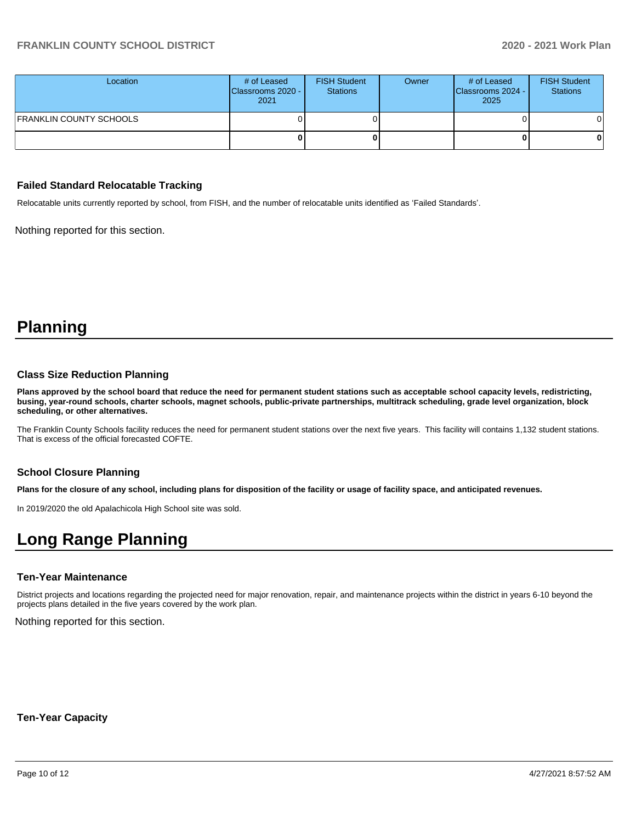# **FRANKLIN COUNTY SCHOOL DISTRICT 2020 - 2021 Work Plan**

| Location                       | # of Leased<br>Classrooms 2020 -<br>2021 | <b>FISH Student</b><br><b>Stations</b> | Owner | # of Leased<br>Classrooms 2024 -<br>2025 | <b>FISH Student</b><br><b>Stations</b> |
|--------------------------------|------------------------------------------|----------------------------------------|-------|------------------------------------------|----------------------------------------|
| <b>FRANKLIN COUNTY SCHOOLS</b> |                                          |                                        |       |                                          | 01                                     |
|                                |                                          |                                        |       |                                          | 0                                      |

#### **Failed Standard Relocatable Tracking**

Relocatable units currently reported by school, from FISH, and the number of relocatable units identified as 'Failed Standards'.

Nothing reported for this section.

# **Planning**

#### **Class Size Reduction Planning**

**Plans approved by the school board that reduce the need for permanent student stations such as acceptable school capacity levels, redistricting, busing, year-round schools, charter schools, magnet schools, public-private partnerships, multitrack scheduling, grade level organization, block scheduling, or other alternatives.**

The Franklin County Schools facility reduces the need for permanent student stations over the next five years. This facility will contains 1,132 student stations. That is excess of the official forecasted COFTE.

#### **School Closure Planning**

**Plans for the closure of any school, including plans for disposition of the facility or usage of facility space, and anticipated revenues.** 

In 2019/2020 the old Apalachicola High School site was sold.

# **Long Range Planning**

### **Ten-Year Maintenance**

District projects and locations regarding the projected need for major renovation, repair, and maintenance projects within the district in years 6-10 beyond the projects plans detailed in the five years covered by the work plan.

Nothing reported for this section.

**Ten-Year Capacity**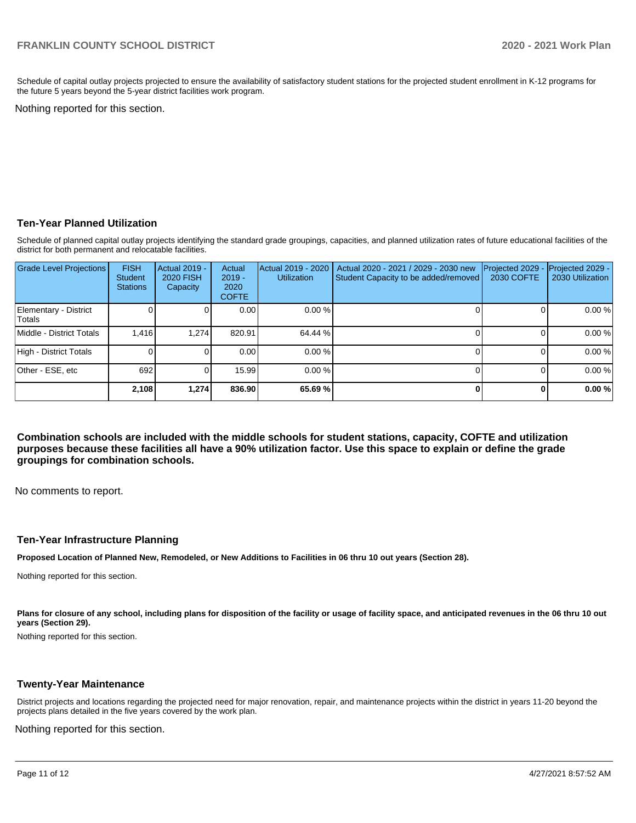Schedule of capital outlay projects projected to ensure the availability of satisfactory student stations for the projected student enrollment in K-12 programs for the future 5 years beyond the 5-year district facilities work program.

Nothing reported for this section.

### **Ten-Year Planned Utilization**

Schedule of planned capital outlay projects identifying the standard grade groupings, capacities, and planned utilization rates of future educational facilities of the district for both permanent and relocatable facilities.

| <b>Grade Level Projections</b>   | <b>FISH</b><br>Student<br><b>Stations</b> | <b>Actual 2019 -</b><br><b>2020 FISH</b><br>Capacity | Actual<br>$2019 -$<br>2020<br><b>COFTE</b> | Actual 2019 - 2020<br><b>Utilization</b> | Actual 2020 - 2021 / 2029 - 2030 new<br>Student Capacity to be added/removed | Projected 2029<br>2030 COFTE | Projected 2029 -<br>2030 Utilization |
|----------------------------------|-------------------------------------------|------------------------------------------------------|--------------------------------------------|------------------------------------------|------------------------------------------------------------------------------|------------------------------|--------------------------------------|
| Elementary - District<br> Totals |                                           |                                                      | 0.00                                       | 0.00%                                    |                                                                              |                              | 0.00%                                |
| Middle - District Totals         | 1.416                                     | 1.274                                                | 820.91                                     | 64.44 %                                  |                                                                              |                              | 0.00%                                |
| High - District Totals           |                                           |                                                      | 0.00                                       | 0.00%                                    |                                                                              |                              | 0.00%                                |
| Other - ESE, etc                 | 692                                       |                                                      | 15.99                                      | 0.00%                                    |                                                                              |                              | 0.00%                                |
|                                  | 2.108                                     | 1.274                                                | 836.90                                     | 65.69%                                   |                                                                              | n.                           | 0.00%                                |

**Combination schools are included with the middle schools for student stations, capacity, COFTE and utilization purposes because these facilities all have a 90% utilization factor. Use this space to explain or define the grade groupings for combination schools.** 

No comments to report.

#### **Ten-Year Infrastructure Planning**

**Proposed Location of Planned New, Remodeled, or New Additions to Facilities in 06 thru 10 out years (Section 28).**

Nothing reported for this section.

Plans for closure of any school, including plans for disposition of the facility or usage of facility space, and anticipated revenues in the 06 thru 10 out **years (Section 29).**

Nothing reported for this section.

#### **Twenty-Year Maintenance**

District projects and locations regarding the projected need for major renovation, repair, and maintenance projects within the district in years 11-20 beyond the projects plans detailed in the five years covered by the work plan.

Nothing reported for this section.